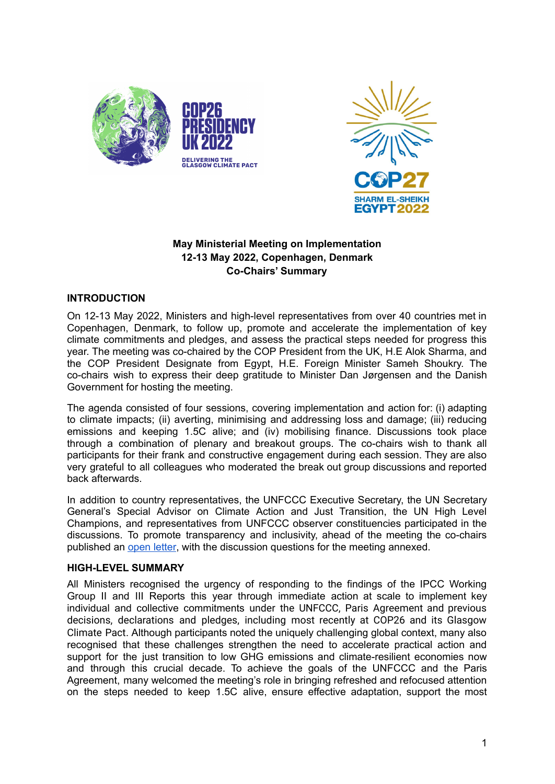



# **May Ministerial Meeting on Implementation 12-13 May 2022, Copenhagen, Denmark Co-Chairs' Summary**

### **INTRODUCTION**

On 12-13 May 2022, Ministers and high-level representatives from over 40 countries met in Copenhagen, Denmark, to follow up, promote and accelerate the implementation of key climate commitments and pledges, and assess the practical steps needed for progress this year. The meeting was co-chaired by the COP President from the UK, H.E Alok Sharma, and the COP President Designate from Egypt, H.E. Foreign Minister Sameh Shoukry. The co-chairs wish to express their deep gratitude to Minister Dan Jørgensen and the Danish Government for hosting the meeting.

The agenda consisted of four sessions, covering implementation and action for: (i) adapting to climate impacts; (ii) averting, minimising and addressing loss and damage; (iii) reducing emissions and keeping 1.5C alive; and (iv) mobilising finance. Discussions took place through a combination of plenary and breakout groups. The co-chairs wish to thank all participants for their frank and constructive engagement during each session. They are also very grateful to all colleagues who moderated the break out group discussions and reported back afterwards.

In addition to country representatives, the UNFCCC Executive Secretary, the UN Secretary General's Special Advisor on Climate Action and Just Transition, the UN High Level Champions, and representatives from UNFCCC observer constituencies participated in the discussions. To promote transparency and inclusivity, ahead of the meeting the co-chairs published an [open](https://unfccc.int/sites/default/files/resource/CP-CPD%20Open%20Letter%20to%20Parties.pdf) letter, with the discussion questions for the meeting annexed.

### **HIGH-LEVEL SUMMARY**

All Ministers recognised the urgency of responding to the findings of the IPCC Working Group II and III Reports this year through immediate action at scale to implement key individual and collective commitments under the UNFCCC, Paris Agreement and previous decisions, declarations and pledges, including most recently at COP26 and its Glasgow Climate Pact. Although participants noted the uniquely challenging global context, many also recognised that these challenges strengthen the need to accelerate practical action and support for the just transition to low GHG emissions and climate-resilient economies now and through this crucial decade. To achieve the goals of the UNFCCC and the Paris Agreement, many welcomed the meeting's role in bringing refreshed and refocused attention on the steps needed to keep 1.5C alive, ensure effective adaptation, support the most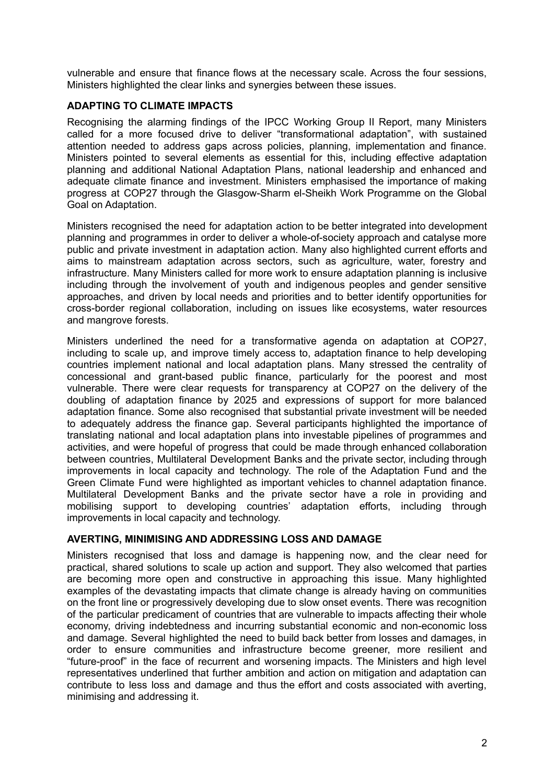vulnerable and ensure that finance flows at the necessary scale. Across the four sessions, Ministers highlighted the clear links and synergies between these issues.

### **ADAPTING TO CLIMATE IMPACTS**

Recognising the alarming findings of the IPCC Working Group II Report, many Ministers called for a more focused drive to deliver "transformational adaptation", with sustained attention needed to address gaps across policies, planning, implementation and finance. Ministers pointed to several elements as essential for this, including effective adaptation planning and additional National Adaptation Plans, national leadership and enhanced and adequate climate finance and investment. Ministers emphasised the importance of making progress at COP27 through the Glasgow-Sharm el-Sheikh Work Programme on the Global Goal on Adaptation.

Ministers recognised the need for adaptation action to be better integrated into development planning and programmes in order to deliver a whole-of-society approach and catalyse more public and private investment in adaptation action. Many also highlighted current efforts and aims to mainstream adaptation across sectors, such as agriculture, water, forestry and infrastructure. Many Ministers called for more work to ensure adaptation planning is inclusive including through the involvement of youth and indigenous peoples and gender sensitive approaches, and driven by local needs and priorities and to better identify opportunities for cross-border regional collaboration, including on issues like ecosystems, water resources and mangrove forests.

Ministers underlined the need for a transformative agenda on adaptation at COP27, including to scale up, and improve timely access to, adaptation finance to help developing countries implement national and local adaptation plans. Many stressed the centrality of concessional and grant-based public finance, particularly for the poorest and most vulnerable. There were clear requests for transparency at COP27 on the delivery of the doubling of adaptation finance by 2025 and expressions of support for more balanced adaptation finance. Some also recognised that substantial private investment will be needed to adequately address the finance gap. Several participants highlighted the importance of translating national and local adaptation plans into investable pipelines of programmes and activities, and were hopeful of progress that could be made through enhanced collaboration between countries, Multilateral Development Banks and the private sector, including through improvements in local capacity and technology. The role of the Adaptation Fund and the Green Climate Fund were highlighted as important vehicles to channel adaptation finance. Multilateral Development Banks and the private sector have a role in providing and mobilising support to developing countries' adaptation efforts, including through improvements in local capacity and technology.

### **AVERTING, MINIMISING AND ADDRESSING LOSS AND DAMAGE**

Ministers recognised that loss and damage is happening now, and the clear need for practical, shared solutions to scale up action and support. They also welcomed that parties are becoming more open and constructive in approaching this issue. Many highlighted examples of the devastating impacts that climate change is already having on communities on the front line or progressively developing due to slow onset events. There was recognition of the particular predicament of countries that are vulnerable to impacts affecting their whole economy, driving indebtedness and incurring substantial economic and non-economic loss and damage. Several highlighted the need to build back better from losses and damages, in order to ensure communities and infrastructure become greener, more resilient and "future-proof" in the face of recurrent and worsening impacts. The Ministers and high level representatives underlined that further ambition and action on mitigation and adaptation can contribute to less loss and damage and thus the effort and costs associated with averting, minimising and addressing it.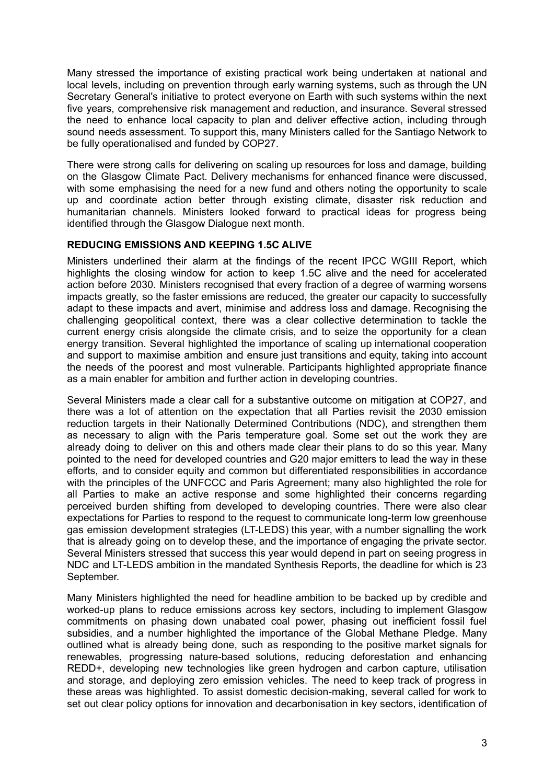Many stressed the importance of existing practical work being undertaken at national and local levels, including on prevention through early warning systems, such as through the UN Secretary General's initiative to protect everyone on Earth with such systems within the next five years, comprehensive risk management and reduction, and insurance. Several stressed the need to enhance local capacity to plan and deliver effective action, including through sound needs assessment. To support this, many Ministers called for the Santiago Network to be fully operationalised and funded by COP27.

There were strong calls for delivering on scaling up resources for loss and damage, building on the Glasgow Climate Pact. Delivery mechanisms for enhanced finance were discussed, with some emphasising the need for a new fund and others noting the opportunity to scale up and coordinate action better through existing climate, disaster risk reduction and humanitarian channels. Ministers looked forward to practical ideas for progress being identified through the Glasgow Dialogue next month.

## **REDUCING EMISSIONS AND KEEPING 1.5C ALIVE**

Ministers underlined their alarm at the findings of the recent IPCC WGIII Report, which highlights the closing window for action to keep 1.5C alive and the need for accelerated action before 2030. Ministers recognised that every fraction of a degree of warming worsens impacts greatly, so the faster emissions are reduced, the greater our capacity to successfully adapt to these impacts and avert, minimise and address loss and damage. Recognising the challenging geopolitical context, there was a clear collective determination to tackle the current energy crisis alongside the climate crisis, and to seize the opportunity for a clean energy transition. Several highlighted the importance of scaling up international cooperation and support to maximise ambition and ensure just transitions and equity, taking into account the needs of the poorest and most vulnerable. Participants highlighted appropriate finance as a main enabler for ambition and further action in developing countries.

Several Ministers made a clear call for a substantive outcome on mitigation at COP27, and there was a lot of attention on the expectation that all Parties revisit the 2030 emission reduction targets in their Nationally Determined Contributions (NDC), and strengthen them as necessary to align with the Paris temperature goal. Some set out the work they are already doing to deliver on this and others made clear their plans to do so this year. Many pointed to the need for developed countries and G20 major emitters to lead the way in these efforts, and to consider equity and common but differentiated responsibilities in accordance with the principles of the UNFCCC and Paris Agreement; many also highlighted the role for all Parties to make an active response and some highlighted their concerns regarding perceived burden shifting from developed to developing countries. There were also clear expectations for Parties to respond to the request to communicate long-term low greenhouse gas emission development strategies (LT-LEDS) this year, with a number signalling the work that is already going on to develop these, and the importance of engaging the private sector. Several Ministers stressed that success this year would depend in part on seeing progress in NDC and LT-LEDS ambition in the mandated Synthesis Reports, the deadline for which is 23 September.

Many Ministers highlighted the need for headline ambition to be backed up by credible and worked-up plans to reduce emissions across key sectors, including to implement Glasgow commitments on phasing down unabated coal power, phasing out inefficient fossil fuel subsidies, and a number highlighted the importance of the Global Methane Pledge. Many outlined what is already being done, such as responding to the positive market signals for renewables, progressing nature-based solutions, reducing deforestation and enhancing REDD+, developing new technologies like green hydrogen and carbon capture, utilisation and storage, and deploying zero emission vehicles. The need to keep track of progress in these areas was highlighted. To assist domestic decision-making, several called for work to set out clear policy options for innovation and decarbonisation in key sectors, identification of